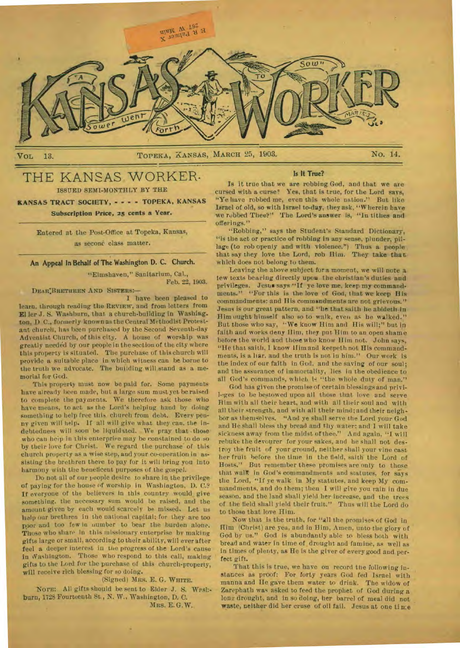

# THE KANSAS WORKER.

ISSUED SEMI-MONTHLY BY THE

**KANSAS TRACT SOCIETY, - - - - TOPEKA, KANSAS Subscription Price, as cents a Year.** 

> Entered at the Post-Office at Topeka, Kansas, as secono class matter.

**An Appeal In Behalf of The Washington D. C. Church.** 

"Elmshaven," Sanitarium, Cal., *Feb.* 22, 1903.

**DEAR:BRETIEREN AND SISTERS:—** 

**I** have been pleased to learn, through reading the **REVIEW,** and from letters from Eller J. S. Washburn, that a church-building in Washing. ton, D C., formerly known as the Central Methodist Protestant church, has been purchased by the Second Seventh-day Adventist Church, of this city. A house of worship was greatly needed by our people in the section of the city where this property is situated. The purchase of this church will provide a suitable place in which witness can be borne to the truth we advocate. The building will stand as a memorial for God.

This property must now be paid for. Some payments have already been made, but a large sum must yet be raised to complete the payments. We therefore ask those who have means, to act **as** the Lord's helping hand by doing something to help free this church from debt. Every penny given will help. if all will give what they can, the indebtedness will soon be liquidated. We pray that those who can help in this enterprise may be constained to do so by their love for Christ. We regard the purchase' of this church property as a wise step, and your co-operation in assisting the brethren there to pay for it will bring you into harmony with the beneficent purposes of the gospel.

Do not all of our people desire to share in the privilege **of** paying for the house of worship in Washington, D. C.? **If** everyone of the believers In this country would give something. the necessary sum would be raised, and the amount given by each would scarcely be missed. Let us help our brethren in the national capital; for they are too poor and too few in number to bear the burden alone. Those who share in this missionary enterprise by making gifts large or small, according to their ability, will *ever* after feel a deeper interest in the progress of the Lord's cause in Washington. Those who respond to thls call, making gifts to the Lord for the purchase of this church-property, will receive rich blessing for so doing.

(Signed) **MRS.** E. G. **WHITE.** 

**NOTE:** All gifts should be sent to Elder J. S. Washburn, 1728 Fourteenth St., N. W., Washington, D. **C. MRS.** E. G. W.

#### Is It True?

Is it true that we are robbing God, and that we are cursed with a curse? Yes, that is true, for the Lord says, "Ye have robbed me, even this whole nation." But like Israel of old, so with Israel to-day, they ask, "Wherein have we rubbed Thee?" The Lord's answer is, "ln tithes **and**  offerings."

"Robbing," says the Student's Standard Dictionary, "is the act or practice of robbing in any sense, plunder, pillage (to rob openly and with violence.") Thus a people . that say they love the Lord, rob Him. They take- **that**  which does not belong to them.

Leaving the above subject fora moment, we will note a Jew texts bearing directly upon the christian's duties and privileges. Jesus says "If ye love me. keep my commandments." "For this is the love of God, that we keep His commandments: and His commandments are not grievous." Jesus is our great pattern, and "he that saith he abideth in Him ought himself also so to walk, even as he walked." But those who say, **"We** know Him and His will;" but in faith and works deny Him. they put Him to an open shame before the world and those who know **II** irn not. John says, "He that saith, I know Him and keepeth not His commandments, is a liar. and the truth is not in him." Our work is the index of our faith in God, and the saving of our soul; and the assurance of immortality, lies in the obedience to all God's commands, which is "the whole duty of man."

God has given the promise of certain blessings and priviloges to be bestowed upon all those that love and serve Him with all their heart, and with all their soul and with all their strength. and with all their mind; and their neighbor as themselves. "And ye shall serve the Lord your God and He shall bless thy bread and thy water: and I will take sickness away from the midst of thee." And again, "I will rebuke the devourer for your sakes, arid he shall not destroy the fruit of your ground, neither shall your vine cast her fruit before the time in the field, saith the Lord of Hosts." But remember these promises are only to those that walk in God's commandments and statutes, for says the Lord, "If ye walk in My statutes, and keep My commandments, and do them; then **I** will give you rain in due season, and the land shall yield her increase, and the trees of the field shall yield their fruit." Thus will the Lord do to those that love Him.

Now that is the truth, for "all the promises of God in Him (Christ) are yea, and in Him, Amen, unto the glory of God by us." God is abundantly able to bless both with bread and water in time of drought and famine, as well as in times of plenty, as He is the giver of every good and perfect gift.

That this is true, we have on record the following instances as proof: For forty years God fed Israel with manna and He gave them water to drink. The widow of Zarephath was asked to feed the prophet of God during a long drought, and in so doing, her barrel of meal did not waste, neither did her cruse of oil fail. Jesus at one ti me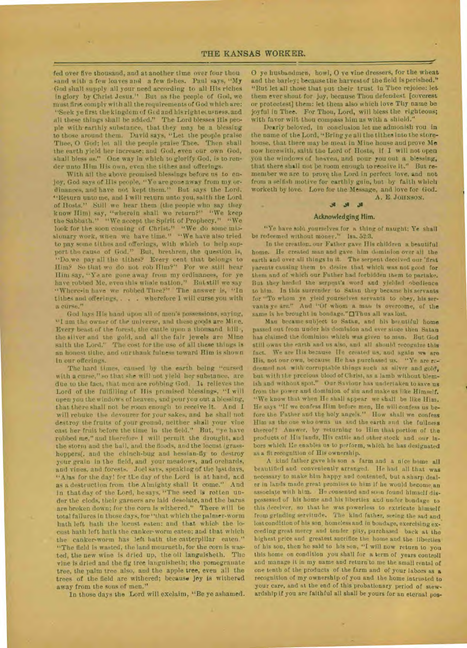fed over five thousand, and at another time over four thou sand with a few loaves and a few fishes. Paul says, "My God shall supply all your need according to all His riches in glory by Christ Jesus." But as the people of God, we must first comply with all the requirements of God which are: "Seek ye first the kingdom of God and his rightedusness, and all these things shall be added." The Lord blesses His people with earthly substance, that they may he a blessing to those around them. David says, "Let the people praise Thee, O God; let all the people praise Thee. Then shall the earth yield her increase; and God. even our own God, shall bless us." One way in which to glorify God, is to render unto Him His own, even the tithes and offerings.

With all the above promised blessings before us to enjoy, God says of His people, "Ye are gone away from my ordinances, and have not kept them." But says the Lord, "Return unto me, and I will return unto you, sai th the Lord of Hosts." Still we hear them (the people who say they know IIim) say, "wherein shall we return?" "We keep the Sabbath." "We accept the Spirit of Prophecy." "We look for the soon coming of Christ." "We do some missionary work, wnen we have time." "We have also tried to pay some tithes and offerings, with which to help support the cause of God." But, brethren, the question is, "Do we pay all the tithes? Every cent that belongs to Him? So that we do not rob Ilim?'' For we still hear Him say, "Ye are gone away from my ordinances, for ye have robbed Me. even this whole nation," But still we say "Where-in have we robbed Thee?" The answer is, "In tithes and offerings, . . . wherefore I will curse you with a curse."

God lays His hand upon all of men's possessions, saying, "1 am the owner of the universe, and these goods are Mire. Every beast of the forest, the cattle upon a thousand hill, the silver a❑d the gold, and all the fair jewels are Mine saith the Lord." The cost for the use of all these things is an honest tithe, and our thank fulness toward Him is shown in our offerings.

The hard times, caused by the earth being "cursed with a curse," so that she will not yield her substance, are due to the fact, that men are robbing God. **h** relieves the Lord of the fulfilling of His promised blessings, "I will open you the windows of heaven, and pour you out a blessing, that there shall not be room enough to receive it. And **I**  will rebuke the devourer for your sakes, and he shall not destroy the fruits of your ground, neither shall your vine cast her fruit before the time in the field." But, "ye have robbed me," and therefore I will permit the drought, and the storm and the hail, and the floods, and the locust (grasshoppers(, and the chinch-bug and hessian-fly to destroy your grain in the field, and your meadows, and orchards, and vines, and forests. Joel says, speaking of the lastdays, "Alas for the day! for the day of the Lord is at hand, and as a destruction from the Almighty shall it come." And in that day of the Lord, hesays. "The seed is rotten under the clods, their garners are laid desolate, and the barns are broken down; for the corn is withered." There will be total failures in those days, for "that which the palmer-worm bath left hath the locust eaten: and that which the locust hath left hath the canker-worm eaten; and that which the canker-worm has left hath the catterpillar eaten." "The field is wasted, the land mourneth, for the corn is wasted, the new wine is dried up, the oil languisheth. Tho vine is dried and the fig tree languisheth; the pomegranate tree, the palm tree also, and the apple tree, even all the trees of the field are withered; because joy is withered away from the sons of men."

In those days the Lord will exclaim, "Be ye ashamed.

O ye husbandmen, howl, O ye vine dressers, for the wheat and the barley; because the harvest of the field is perished." "But let all those that put their trust in Thee rejoice: let them ever shout for joy, because Thou defendest [coverest or protectest] them: let them also which love Thy name be joyful in Thee. For Thou, Lord, will bless the righteous; with favor wilt thou compass him as with a shield."

Dearly beloved, in conclusion let me admonish you in the name of the Lord, "Bring ye all the tithes into the storehouse, that there may be meat in Mine house and prove **Me**  now herewith, saith the Lord of Hosts, if **I** will not open you the windows of heaven, and pour you out a blessing, that there shall not be room enough to receive it." But remember we are to prove the Lord in perfect **love, and** not from a selfish motive for earthly gain, but by faith which worketh by love. Love for the Message, and love for God.

A. E. JOHNSON.

## .0Ja..1; Acknowledging Him.

"Ye have sold yourselves for a thing of naught; Ye shall be redeemed without money." Isa. 52:3.

In the creation. our Father gave **H**is children a beautiful home. He created man and gave him dominion over all the earth and over all things in it. The serpent deceived our 'first parents causing them to desire that which was not good for them and of which our Father had forbidden them to partake. But they heeded the serpent's word and yielded obedience to him. In this surrender to Satan they became his servants for "To whom ye yield yourselves servants to obey, his servants ye are." And "Of whom a man is overcome, of the same is he brought in bondage." OThus all was lost.

Man became subject to Satan, and his berutiful home passed out from under his dominion and ever since then Satan has claimed the dominion which was given to man. But God still owns the earth and us also, and all should recognize this fact. We are His because He created us, and again we are His, not our own, because He has purchased us. "Ye are redeemed not with corruptable things such as silver and gold, but with the precious blood of Christ, as a lamb without blemish and without spot." Our Saviour has undertaken to save us from the power and dominion of sin and make us like Himself. "We know that when He shall appear we shall be like Him. He says "If we confess Him before men, He will confess us before the Father and the holy angels." How shall we confess Him as the one who owns us and the earth and the fullness thereof? Answer, by returning to Him that portion of the products of His lands, His cattle and other stock and our labors which He enables us to perform, which he has designated as a fit recognition of His ownership.

A kind father gave his son a farm and a nice home all beautified and conveniently arranged. lie had all that was necessary to make him happy and contented, but a sharp dealer in lands made great promises to him if be would become an associate with him. He consented and soon found himself dispossessed of his home and his liberties and under bondage to this deceiver, so that he was powerless to extricate himself from grinding servitude. The kind father, seeing the sad and. lost condition of his son, homeless and in bondage, exercising exceeding great mercy and tender pity, purchased back at the highest price and greatest sacrifice the home and the liberties of his son, then be said to his son, "I will now return to you this home on condition you shall for a term of years controll and manage it in my name and return to me the small rental of one tenth of the products of the farm and of your labors as **a**  recognition of my ownership of you and the home intrusted to your care, and at the end of this probationary period of stewardship if you are faithful all shall be yours for an eternal pos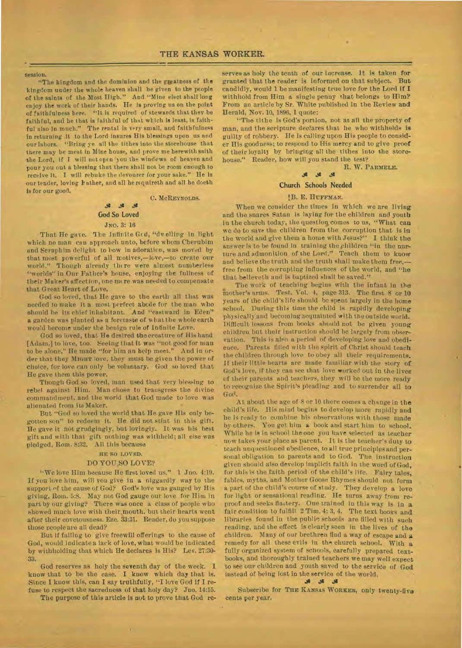session.

"The kingdom and the dominion and the greatness of the kingdom under the whole heaven shall be given to the people of the saints of the Most High." And "Mine elect shall long enjoy the work of their hands. He is proving us on the point of faithfulness here. "It is required of stewards that they *be*  faithful, and he that is faithful of that which is least, is faithful also in much." The rental is very small, and faithfulness *in* returning it to the Lord insures His blessings upon us and our labors. "Bring ye all the tithes into the storehouse that there may be meat in Mine house, and prove me herewith saith the Lord, if I will not open you the windows of heaven and pour you out a blessing that there shall not be room enough to receive it. I will rebuke the devourer for your sake." He is our tender, loving Father, and all he requireth and all he doeth is for our good.

## *.111* **.01 God So Loved**

**C. MCREYNOLDS.** 

#### *JNO.* 3: 16

That He gave. The Infinite Ged, "dv elling in light which no man can approach unto, before whom Cherubim and Seraphim delight to how in adoration, was moved by that most powerful of all motives,—love,—to create our world." Though already there were almost numberless "worlds" in Our Father's house, enjoying the fullness of their Maker's affection, one more was needed to compensate that Great Heart of Love.

God so loved, that He gave to the earth all that was needed to make it a most perfect abcde for the man who should be its chief inhabitant. And "eastward in Eden" a garden was planted as a foretaste of what the whole earth would become under the benign rule of Infinite Love.

God so loved, that He desired the creature of His hand [Adam,] to love, too. Seeing that it was "not good for man to be alone," He made "for him an help meet." And in order that they **Miou'r** love, they must be given the power of choice, for love can only be voluntary. God so loved that He gave them this power.

Though God so loved, man used that very blessing to rebel against Him. Man chose to transgress the divine commandment. and the world that God made to love was alienated from its Maker.

But "God so loved the world that He gave His only begotten sou" to redeem it. He did not stint in this gift. He gave it not grudgingly, but lovingly. It was his best gift and with that gift nothing was withheld; all else was pledged, Rom. 8:32. All this because

#### **RE SO LOVED.**

#### DO YOU,S0 LOVE?

"We love Him because He first loved us." 1 Jno. 4:19. If you love him, will you give in a niggardly way to the support of the cause of God? God's love was gauged by His giving, Rom. 5:8. May not God gauge our love for Him In part by our giving? There was once a class of people who showed much love with their mouth, but their hearts went after their covetousness. Eze. 33:31. Reader, do you suppose those people are all dead?

But if failing to give freewill offerings to the cause of God, would indicate a lack of love, what would be indicated by withholding that which He declares is His? Lev. 27:30- 33.

God reserves as holy the seventh day of the week. 1 know that to be the case. I know which day that is. Since I know this, can I say truthfully, "I love God if I refuse to respect the sacredness of that holy day? Jno. 14:15.

The purpose of this article is nut to prove that God re-

serves as holy the tenth of our increase. It is taken for granted that the reader is informed on that subject. But candidly, would 1 be manifesting true love for the Lord if **I**  withhold from Him a single penny that belongs to Him? From an article by Sr. 'White published in the Review and Herald, Nov. 10, 1896, 1 quote:

"The tithe is God's portion, not at all the property of man, and the scripture declares that he who withholds *is*  guilty of robbery. He is calling upon His people to consider His goodness; to respond to His mercy and to *give* proof of their loyalty by bringing all the tithes into the storehouse." Reader, how will you stand the test?

#### R. W. **PARMELE.**

### ell **as**

#### **Church Schools Needed**

#### l"B. E. **HUFFMAN.**

When we consider the times in which we are living and the snares Satan is laying for the children and youth in the church today, the question comes to us, "What can we do to save the children from the Corruption that is in the world and give them a home with Jesus?" I think the answer is to be found in training the children "in the nurture and admonition of the Lord." Teach them to know and believe the truth and the truth shall make them free,free from the corrupting influences of the world, and "he that believeth and is baptized shall be saved."

The work of teaching begins with the infant in the mother's arms. Test. Vol. 4, page 313. The first & or 10 years of the child's life should be spent largely in the home school. During this time the child is rapidly developing physically and becoming acquainted with the outside world. Difficult lessons from books should not be given young children but their instruction should be largely from observation. This is also a period of developing love and obedience. Parents filled with the spirit of Christ should teach the children through love to obey all their requirements. If their little hearts are made familiar with the story of God's love, if they can see that love worked out in the lives of their parents and teachers, they will be the more ready to recognize the Spirit's pleading and to surrender all to God.

At about the age of 8 or 10 there comes a change in the child's life. His mind begins to develop more rapidly and lie is ready to combine his observations with those made by others. You get him a book and start him to school. While he is in school the one you have selected as teacher now takes your place as parent. It is the teacher's duty to teach unquestioned obedience, to all true principles and personal obligation to parents and to God. The instruction given should also develop implicit faith in the word of God, for this is the faith period of the child's lire. Fairy tales, fables, myths, and Mother Goose Rhymes should not form *a* part of the child's course of study. They develop a love for light or sensational reading. He turns away from reproof and seeks flattery. One trained in this way is in **a**  fair condition to fulfill 2 Tim. 4: 3, 4. The text books and libraries found in the publie schools are filled with such reading, and the effect is clearly seen in the lives of the children. Many of our brethren find a way of escape and **a**  remedy for all these evils in the church school. With **a**  fully organized system of schools, carefully prepared textbooks, and thoroughly trained teachers we may well expect to see our children and youth saved to the service of God instead of being lost in the service of the world.

Subscribe for THE **KANSAS WORKER,** only twenty-five cents per year.